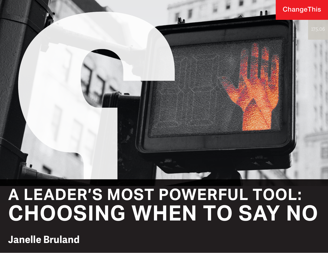

# **A LEADER'S MOST POWERFUL TOOL: CHOOSING WHEN TO SAY NO**

**Janelle Bruland**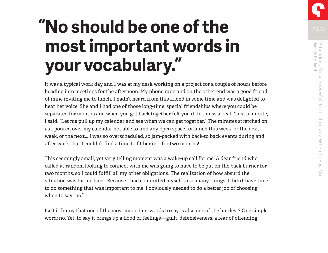# **"No should be one of the most important words in your vocabulary."**

It was a typical work day and I was at my desk working on a project for a couple of hours before heading into meetings for the afternoon. My phone rang and on the other end was a good friend of mine inviting me to lunch. I hadn't heard from this friend in some time and was delighted to hear her voice. She and I had one of those long-time, special friendships where you could be separated for months and when you got back together felt you didn't miss a beat. "Just a minute," I said. "Let me pull up my calendar and see when we can get together." The minutes stretched on as I poured over my calendar not able to find any open space for lunch this week, or the next week, or the next... I was so overscheduled, so jam-packed with back-to back events during and after work that I couldn't find a time to fit her in—for two months!

This seemingly small, yet very telling moment was a wake-up call for me. A dear friend who called at random looking to connect with me was going to have to be put on the back burner for two months, so I could fulfill all my other obligations. The realization of how absurd the situation was hit me hard. Because I had committed myself to so many things, I didn't have time to do something that was important to me. I obviously needed to do a better job of choosing when to say "no."

Isn't it funny that one of the most important words to say is also one of the hardest? One simple word: no. Yet, to say it brings up a flood of feelings—guilt, defensiveness, a fear of offending.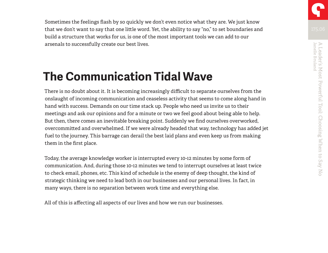Sometimes the feelings flash by so quickly we don't even notice what they are. We just know that we don't want to say that one little word. Yet, the ability to say "no," to set boundaries and build a structure that works for us, is one of the most important tools we can add to our arsenals to successfully create our best lives.

# **The Communication Tidal Wave**

There is no doubt about it. It is becoming increasingly difficult to separate ourselves from the onslaught of incoming communication and ceaseless activity that seems to come along hand in hand with success. Demands on our time stack up. People who need us invite us to their meetings and ask our opinions and for a minute or two we feel good about being able to help. But then, there comes an inevitable breaking point. Suddenly we find ourselves overworked, overcommitted and overwhelmed. If we were already headed that way, technology has added jet fuel to the journey. This barrage can derail the best laid plans and even keep us from making them in the first place.

Today, the average knowledge worker is interrupted every 10-12 minutes by some form of communication. And, during those 10-12 minutes we tend to interrupt ourselves at least twice to check email, phones, etc. This kind of schedule is the enemy of deep thought, the kind of strategic thinking we need to lead both in our businesses and our personal lives. In fact, in many ways, there is no separation between work time and everything else.

All of this is affecting all aspects of our lives and how we run our businesses.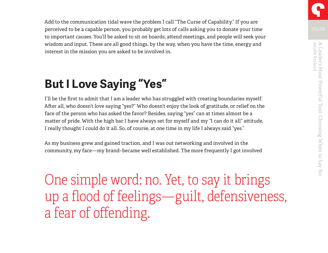Add to the communication tidal wave the problem I call "The Curse of Capability." If you are perceived to be a capable person, you probably get lots of calls asking you to donate your time to important causes. You'll be asked to sit on boards, attend meetings, and people will seek your wisdom and input. These are all good things, by the way, when you have the time, energy and interest in the mission you are asked to be involved in.

# **But I Love Saying "Yes"**

I'll be the first to admit that I am a leader who has struggled with creating boundaries myself. After all, who doesn't love saying "yes?" Who doesn't enjoy the look of gratitude, or relief on the face of the person who has asked the favor? Besides, saying "yes" can at times almost be a matter of pride. With the high bar I have always set for myself and my "I can do it all" attitude, I really thought I could do it all. So, of course, at one time in my life I always said "yes."

As my business grew and gained traction, and I was out networking and involved in the community, my face—my brand–became well established. The more frequently I got involved

One simple word: no. Yet, to say it brings up a flood of feelings—guilt, defensiveness, a fear of offending.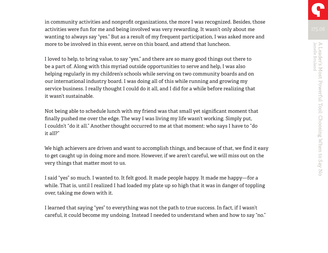in community activities and nonprofit organizations, the more I was recognized. Besides, those activities were fun for me and being involved was very rewarding. It wasn't only about me wanting to always say "yes." But as a result of my frequent participation, I was asked more and more to be involved in this event, serve on this board, and attend that luncheon.

I loved to help, to bring value, to say "yes," and there are so many good things out there to be a part of. Along with this myriad outside opportunities to serve and help, I was also helping regularly in my children's schools while serving on two community boards and on our international industry board. I was doing all of this while running and growing my service business. I really thought I could do it all, and I did for a while before realizing that it wasn't sustainable.

Not being able to schedule lunch with my friend was that small yet significant moment that finally pushed me over the edge. The way I was living my life wasn't working. Simply put, I couldn't "do it all." Another thought occurred to me at that moment: who says I have to "do it all?"

We high achievers are driven and want to accomplish things, and because of that, we find it easy to get caught up in doing more and more. However, if we aren't careful, we will miss out on the very things that matter most to us.

I said "yes" so much. I wanted to. It felt good. It made people happy. It made me happy—for a while. That is, until I realized I had loaded my plate up so high that it was in danger of toppling over, taking me down with it.

I learned that saying "yes" to everything was not the path to true success. In fact, if I wasn't careful, it could become my undoing. Instead I needed to understand when and how to say "no."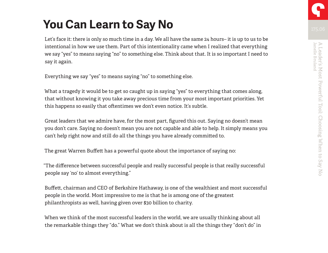# **You Can Learn to Say No**

Let's face it: there is only so much time in a day. We all have the same 24 hours– it is up to us to be intentional in how we use them. Part of this intentionality came when I realized that everything we say "yes" to means saying "no" to something else. Think about that. It is so important I need to say it again.

Everything we say "yes" to means saying "no" to something else.

What a tragedy it would be to get so caught up in saying "yes" to everything that comes along, that without knowing it you take away precious time from your most important priorities. Yet this happens so easily that oftentimes we don't even notice. It's subtle.

Great leaders that we admire have, for the most part, figured this out. Saying no doesn't mean you don't care. Saying no doesn't mean you are not capable and able to help. It simply means you can't help right now and still do all the things you have already committed to.

The great Warren Buffett has a powerful quote about the importance of saying no:

"The difference between successful people and really successful people is that really successful people say 'no' to almost everything."

Buffett, chairman and CEO of Berkshire Hathaway, is one of the wealthiest and most successful people in the world. Most impressive to me is that he is among one of the greatest philanthropists as well, having given over \$30 billion to charity.

When we think of the most successful leaders in the world, we are usually thinking about all the remarkable things they "do." What we don't think about is all the things they "don't do" in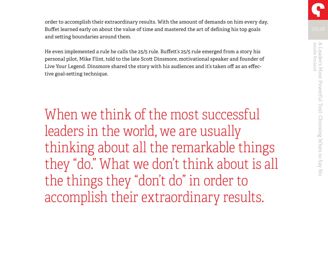order to accomplish their extraordinary results. With the amount of demands on him every day, Buffet learned early on about the value of time and mastered the art of defining his top goals and setting boundaries around them.

He even implemented a rule he calls the 25/5 rule. Buffett's 25/5 rule emerged from a story his personal pilot, Mike Flint, told to the late Scott Dinsmore, motivational speaker and founder of Live Your Legend. Dinsmore shared the story with his audiences and it's taken off as an effective goal-setting technique.

When we think of the most successful leaders in the world, we are usually thinking about all the remarkable things they "do." What we don't think about is all the things they "don't do" in order to accomplish their extraordinary results.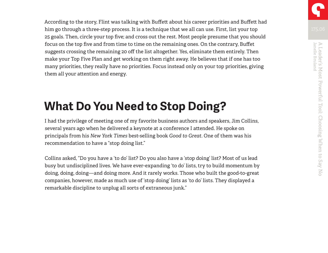According to the story, Flint was talking with Buffett about his career priorities and Buffett had him go through a three-step process. It is a technique that we all can use. First, list your top 25 goals. Then, circle your top five; and cross out the rest. Most people presume that you should focus on the top five and from time to time on the remaining ones. On the contrary, Buffet suggests crossing the remaining 20 off the list altogether. Yes, eliminate them entirely. Then make your Top Five Plan and get working on them right away. He believes that if one has too many priorities, they really have no priorities. Focus instead only on your top priorities, giving them all your attention and energy.

## **What Do You Need to Stop Doing?**

I had the privilege of meeting one of my favorite business authors and speakers, Jim Collins, several years ago when he delivered a keynote at a conference I attended. He spoke on principals from his *New York Times* best-selling book *Good to Great*. One of them was his recommendation to have a "stop doing list."

Collins asked, "Do you have a 'to do' list? Do you also have a 'stop doing' list? Most of us lead busy but undisciplined lives. We have ever-expanding 'to do' lists, try to build momentum by doing, doing, doing—and doing more. And it rarely works. Those who built the good-to-great companies, however, made as much use of 'stop doing' lists as 'to do' lists. They displayed a remarkable discipline to unplug all sorts of extraneous junk."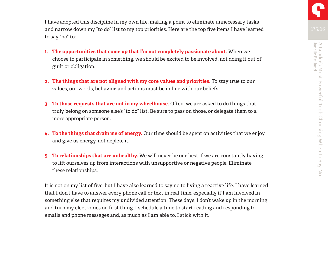I have adopted this discipline in my own life, making a point to eliminate unnecessary tasks and narrow down my "to do" list to my top priorities. Here are the top five items I have learned to say "no" to:

- **1. The opportunities that come up that I'm not completely passionate about.** When we choose to participate in something, we should be excited to be involved, not doing it out of guilt or obligation.
- **2. The things that are not aligned with my core values and priorities.** To stay true to our values, our words, behavior, and actions must be in line with our beliefs.
- **3. To those requests that are not in my wheelhouse.** Often, we are asked to do things that truly belong on someone else's "to do" list. Be sure to pass on those, or delegate them to a more appropriate person.
- **4. To the things that drain me of energy.** Our time should be spent on activities that we enjoy and give us energy, not deplete it.
- **5. To relationships that are unhealthy.** We will never be our best if we are constantly having to lift ourselves up from interactions with unsupportive or negative people. Eliminate these relationships.

It is not on my list of five, but I have also learned to say no to living a reactive life. I have learned that I don't have to answer every phone call or text in real time, especially if I am involved in something else that requires my undivided attention. These days, I don't wake up in the morning and turn my electronics on first thing. I schedule a time to start reading and responding to emails and phone messages and, as much as I am able to, I stick with it.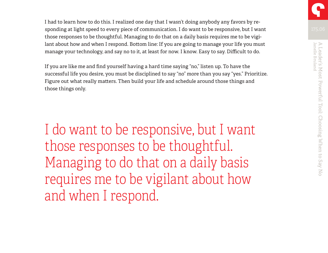I had to learn how to do this. I realized one day that I wasn't doing anybody any favors by responding at light speed to every piece of communication. I do want to be responsive, but I want those responses to be thoughtful. Managing to do that on a daily basis requires me to be vigilant about how and when I respond. Bottom line: If you are going to manage your life you must manage your technology, and say no to it, at least for now. I know. Easy to say. Difficult to do.

If you are like me and find yourself having a hard time saying "no," listen up. To have the successful life you desire, you must be disciplined to say "no" more than you say "yes." Prioritize. Figure out what really matters. Then build your life and schedule around those things and those things only.

I do want to be responsive, but I want those responses to be thoughtful. Managing to do that on a daily basis requires me to be vigilant about how and when I respond.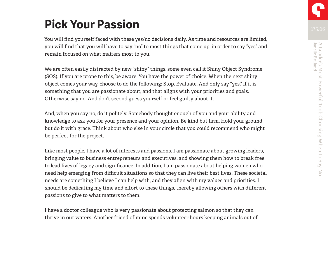# **Pick Your Passion**

You will find yourself faced with these yes/no decisions daily. As time and resources are limited, you will find that you will have to say "no" to most things that come up, in order to say "yes" and remain focused on what matters most to you.

We are often easily distracted by new "shiny" things, some even call it Shiny Object Syndrome (SOS). If you are prone to this, be aware. You have the power of choice. When the next shiny object comes your way, choose to do the following: Stop. Evaluate. And only say "yes," if it is something that you are passionate about, and that aligns with your priorities and goals. Otherwise say no. And don't second guess yourself or feel guilty about it.

And, when you say no, do it politely. Somebody thought enough of you and your ability and knowledge to ask you for your presence and your opinion. Be kind but firm. Hold your ground but do it with grace. Think about who else in your circle that you could recommend who might be perfect for the project.

Like most people, I have a lot of interests and passions. I am passionate about growing leaders, bringing value to business entrepreneurs and executives, and showing them how to break free to lead lives of legacy and significance. In addition, I am passionate about helping women who need help emerging from difficult situations so that they can live their best lives. These societal needs are something I believe I can help with, and they align with my values and priorities. I should be dedicating my time and effort to these things, thereby allowing others with different passions to give to what matters to them.

I have a doctor colleague who is very passionate about protecting salmon so that they can thrive in our waters. Another friend of mine spends volunteer hours keeping animals out of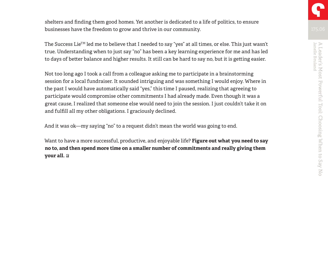shelters and finding them good homes. Yet another is dedicated to a life of politics, to ensure businesses have the freedom to grow and thrive in our community.

The Success Lie<sup>TM</sup> led me to believe that I needed to say "yes" at all times, or else. This just wasn't true. Understanding when to just say "no" has been a key learning experience for me and has led to days of better balance and higher results. It still can be hard to say no, but it is getting easier.

Not too long ago I took a call from a colleague asking me to participate in a brainstorming session for a local fundraiser. It sounded intriguing and was something I would enjoy. Where in the past I would have automatically said "yes," this time I paused, realizing that agreeing to participate would compromise other commitments I had already made. Even though it was a great cause, I realized that someone else would need to join the session. I just couldn't take it on and fulfill all my other obligations. I graciously declined.

And it was ok—my saying "no" to a request didn't mean the world was going to end.

Want to have a more successful, productive, and enjoyable life? **Figure out what you need to say no to, and then spend more time on a smaller number of commitments and really giving them your all.**